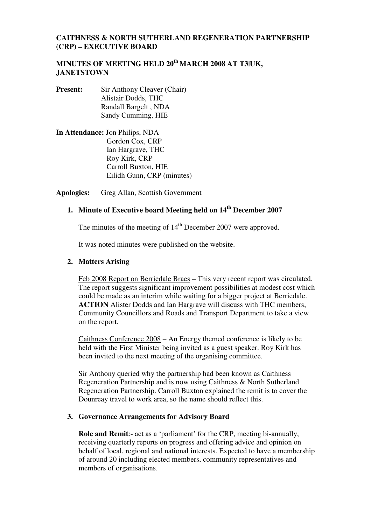## **CAITHNESS & NORTH SUTHERLAND REGENERATION PARTNERSHIP (CRP) – EXECUTIVE BOARD**

# **MINUTES OF MEETING HELD 20th MARCH 2008 AT T3|UK, JANETSTOWN**

- **Present:** Sir Anthony Cleaver (Chair) Alistair Dodds, THC Randall Bargelt , NDA Sandy Cumming, HIE
- **In Attendance:** Jon Philips, NDA Gordon Cox, CRP Ian Hargrave, THC Roy Kirk, CRP Carroll Buxton, HIE Eilidh Gunn, CRP (minutes)

**Apologies:** Greg Allan, Scottish Government

# **1. Minute of Executive board Meeting held on 14th December 2007**

The minutes of the meeting of 14<sup>th</sup> December 2007 were approved.

It was noted minutes were published on the website.

#### **2. Matters Arising**

Feb 2008 Report on Berriedale Braes – This very recent report was circulated. The report suggests significant improvement possibilities at modest cost which could be made as an interim while waiting for a bigger project at Berriedale. **ACTION** Alister Dodds and Ian Hargrave will discuss with THC members, Community Councillors and Roads and Transport Department to take a view on the report.

Caithness Conference 2008 – An Energy themed conference is likely to be held with the First Minister being invited as a guest speaker. Roy Kirk has been invited to the next meeting of the organising committee.

Sir Anthony queried why the partnership had been known as Caithness Regeneration Partnership and is now using Caithness & North Sutherland Regeneration Partnership. Carroll Buxton explained the remit is to cover the Dounreay travel to work area, so the name should reflect this.

#### **3. Governance Arrangements for Advisory Board**

**Role and Remit**:- act as a 'parliament' for the CRP, meeting bi-annually, receiving quarterly reports on progress and offering advice and opinion on behalf of local, regional and national interests. Expected to have a membership of around 20 including elected members, community representatives and members of organisations.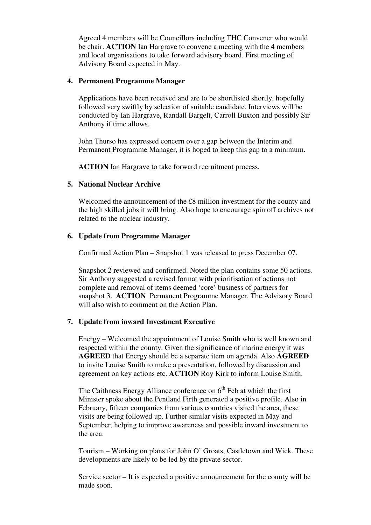Agreed 4 members will be Councillors including THC Convener who would be chair. **ACTION** Ian Hargrave to convene a meeting with the 4 members and local organisations to take forward advisory board. First meeting of Advisory Board expected in May.

#### **4. Permanent Programme Manager**

Applications have been received and are to be shortlisted shortly, hopefully followed very swiftly by selection of suitable candidate. Interviews will be conducted by Ian Hargrave, Randall Bargelt, Carroll Buxton and possibly Sir Anthony if time allows.

John Thurso has expressed concern over a gap between the Interim and Permanent Programme Manager, it is hoped to keep this gap to a minimum.

**ACTION** Ian Hargrave to take forward recruitment process.

# **5. National Nuclear Archive**

Welcomed the announcement of the £8 million investment for the county and the high skilled jobs it will bring. Also hope to encourage spin off archives not related to the nuclear industry.

# **6. Update from Programme Manager**

Confirmed Action Plan – Snapshot 1 was released to press December 07.

Snapshot 2 reviewed and confirmed. Noted the plan contains some 50 actions. Sir Anthony suggested a revised format with prioritisation of actions not complete and removal of items deemed 'core' business of partners for snapshot 3. **ACTION** Permanent Programme Manager. The Advisory Board will also wish to comment on the Action Plan.

# **7. Update from inward Investment Executive**

Energy – Welcomed the appointment of Louise Smith who is well known and respected within the county. Given the significance of marine energy it was **AGREED** that Energy should be a separate item on agenda. Also **AGREED** to invite Louise Smith to make a presentation, followed by discussion and agreement on key actions etc. **ACTION** Roy Kirk to inform Louise Smith.

The Caithness Energy Alliance conference on  $6<sup>th</sup>$  Feb at which the first Minister spoke about the Pentland Firth generated a positive profile. Also in February, fifteen companies from various countries visited the area, these visits are being followed up. Further similar visits expected in May and September, helping to improve awareness and possible inward investment to the area.

Tourism – Working on plans for John O' Groats, Castletown and Wick. These developments are likely to be led by the private sector.

Service sector – It is expected a positive announcement for the county will be made soon.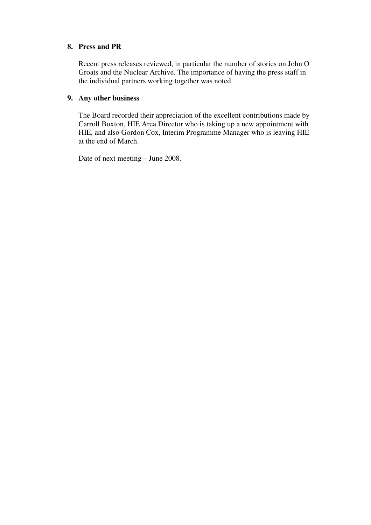## **8. Press and PR**

Recent press releases reviewed, in particular the number of stories on John O Groats and the Nuclear Archive. The importance of having the press staff in the individual partners working together was noted.

#### **9. Any other business**

The Board recorded their appreciation of the excellent contributions made by Carroll Buxton, HIE Area Director who is taking up a new appointment with HIE, and also Gordon Cox, Interim Programme Manager who is leaving HIE at the end of March.

Date of next meeting – June 2008.